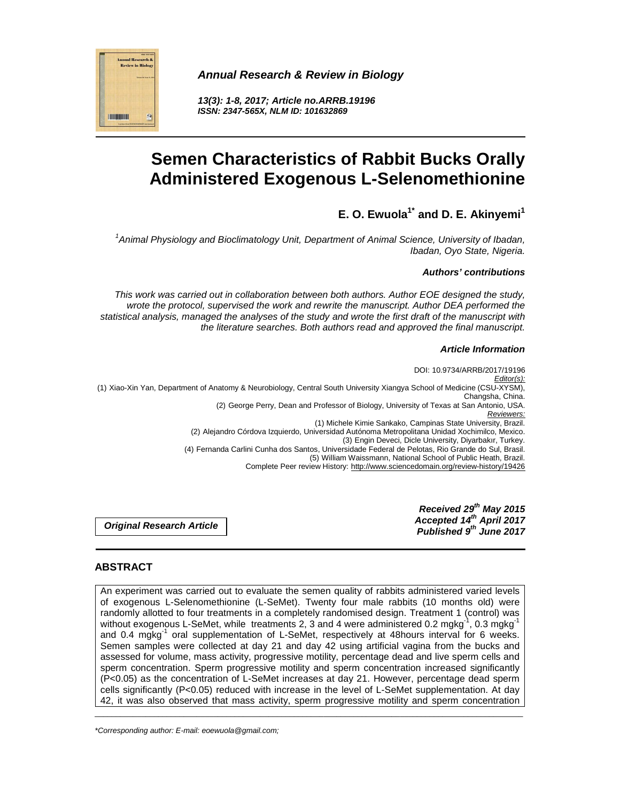

**13(3): 1-8, 2017; Article no.ARRB.19196 ISSN: 2347-565X, NLM ID: 101632869** 



# **Semen Characteristics of Rabbit Bucks Orally Administered Exogenous L-Selenomethionine**

**E. O. Ewuola1\* and D. E. Akinyemi<sup>1</sup>**

<sup>1</sup> Animal Physiology and Bioclimatology Unit, Department of Animal Science, University of Ibadan, Ibadan, Oyo State, Nigeria.

#### **Authors' contributions**

This work was carried out in collaboration between both authors. Author EOE designed the study, wrote the protocol, supervised the work and rewrite the manuscript. Author DEA performed the statistical analysis, managed the analyses of the study and wrote the first draft of the manuscript with the literature searches. Both authors read and approved the final manuscript.

#### **Article Information**

DOI: 10.9734/ARRB/2017/19196 Editor(s): (1) Xiao-Xin Yan, Department of Anatomy & Neurobiology, Central South University Xiangya School of Medicine (CSU-XYSM), Changsha, China. (2) George Perry, Dean and Professor of Biology, University of Texas at San Antonio, USA. Reviewers: (1) Michele Kimie Sankako, Campinas State University, Brazil. (2) Alejandro Córdova Izquierdo, Universidad Autónoma Metropolitana Unidad Xochimilco, Mexico. (3) Engin Deveci, Dicle University, Diyarbakır, Turkey. (4) Fernanda Carlini Cunha dos Santos, Universidade Federal de Pelotas, Rio Grande do Sul, Brasil. (5) William Waissmann, National School of Public Heath, Brazil. Complete Peer review History: http://www.sciencedomain.org/review-history/19426

> **Received 29th May 2015 Accepted 14th April 2017 Published 9th June 2017**

**Original Research Article** 

## **ABSTRACT**

An experiment was carried out to evaluate the semen quality of rabbits administered varied levels of exogenous L-Selenomethionine (L-SeMet). Twenty four male rabbits (10 months old) were randomly allotted to four treatments in a completely randomised design. Treatment 1 (control) was without exogenous L-SeMet, while treatments 2, 3 and 4 were administered 0.2 mgkg<sup>-1</sup>, 0.3 mgkg<sup>-1</sup> and 0.4 mgkg<sup>-1</sup> oral supplementation of L-SeMet, respectively at 48hours interval for 6 weeks. Semen samples were collected at day 21 and day 42 using artificial vagina from the bucks and assessed for volume, mass activity, progressive motility, percentage dead and live sperm cells and sperm concentration. Sperm progressive motility and sperm concentration increased significantly (P<0.05) as the concentration of L-SeMet increases at day 21. However, percentage dead sperm cells significantly (P<0.05) reduced with increase in the level of L-SeMet supplementation. At day 42, it was also observed that mass activity, sperm progressive motility and sperm concentration

\_\_\_\_\_\_\_\_\_\_\_\_\_\_\_\_\_\_\_\_\_\_\_\_\_\_\_\_\_\_\_\_\_\_\_\_\_\_\_\_\_\_\_\_\_\_\_\_\_\_\_\_\_\_\_\_\_\_\_\_\_\_\_\_\_\_\_\_\_\_\_\_\_\_\_\_\_\_\_\_\_\_\_\_\_\_\_\_\_\_\_\_\_\_\_\_\_\_\_\_\_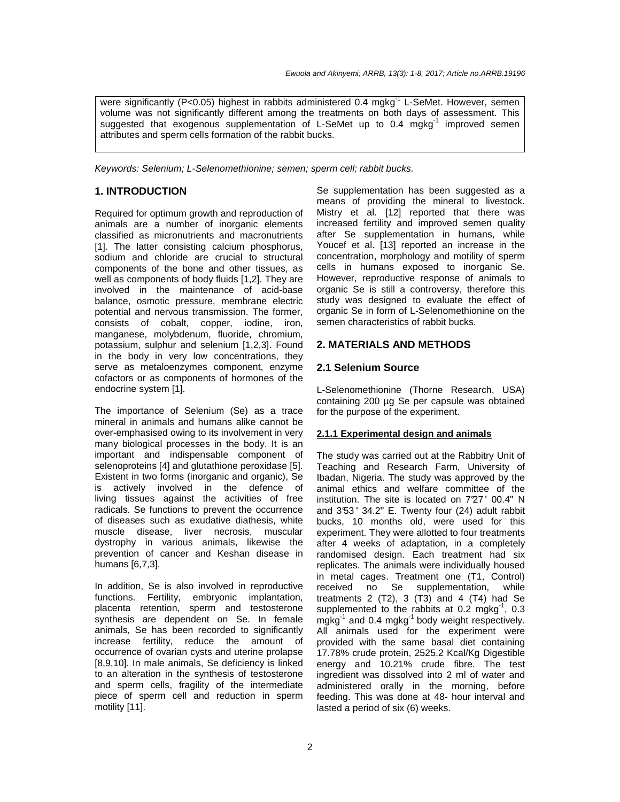were significantly (P<0.05) highest in rabbits administered 0.4 mgkg<sup>-1</sup> L-SeMet. However, semen volume was not significantly different among the treatments on both days of assessment. This suggested that exogenous supplementation of L-SeMet up to  $0.4 \, \text{mgkg}^{-1}$  improved semen attributes and sperm cells formation of the rabbit bucks.

Keywords: Selenium; L-Selenomethionine; semen; sperm cell; rabbit bucks.

#### **1. INTRODUCTION**

Required for optimum growth and reproduction of animals are a number of inorganic elements classified as micronutrients and macronutrients [1]. The latter consisting calcium phosphorus, sodium and chloride are crucial to structural components of the bone and other tissues, as well as components of body fluids [1,2]. They are involved in the maintenance of acid-base balance, osmotic pressure, membrane electric potential and nervous transmission. The former, consists of cobalt, copper, iodine, iron, manganese, molybdenum, fluoride, chromium, potassium, sulphur and selenium [1,2,3]. Found in the body in very low concentrations, they serve as metaloenzymes component, enzyme cofactors or as components of hormones of the endocrine system [1].

The importance of Selenium (Se) as a trace mineral in animals and humans alike cannot be over-emphasised owing to its involvement in very many biological processes in the body. It is an important and indispensable component of selenoproteins [4] and glutathione peroxidase [5]. Existent in two forms (inorganic and organic), Se is actively involved in the defence of living tissues against the activities of free radicals. Se functions to prevent the occurrence of diseases such as exudative diathesis, white muscle disease, liver necrosis, muscular dystrophy in various animals, likewise the prevention of cancer and Keshan disease in humans [6,7,3].

In addition, Se is also involved in reproductive functions. Fertility, embryonic implantation, placenta retention, sperm and testosterone synthesis are dependent on Se. In female animals, Se has been recorded to significantly increase fertility, reduce the amount of occurrence of ovarian cysts and uterine prolapse [8,9,10]. In male animals, Se deficiency is linked to an alteration in the synthesis of testosterone and sperm cells, fragility of the intermediate piece of sperm cell and reduction in sperm motility [11].

Se supplementation has been suggested as a means of providing the mineral to livestock. Mistry et al. [12] reported that there was increased fertility and improved semen quality after Se supplementation in humans, while Youcef et al. [13] reported an increase in the concentration, morphology and motility of sperm cells in humans exposed to inorganic Se. However, reproductive response of animals to organic Se is still a controversy, therefore this study was designed to evaluate the effect of organic Se in form of L-Selenomethionine on the semen characteristics of rabbit bucks.

#### **2. MATERIALS AND METHODS**

#### **2.1 Selenium Source**

L-Selenomethionine (Thorne Research, USA) containing 200 µg Se per capsule was obtained for the purpose of the experiment.

#### **2.1.1 Experimental design and animals**

The study was carried out at the Rabbitry Unit of Teaching and Research Farm, University of Ibadan, Nigeria. The study was approved by the animal ethics and welfare committee of the institution. The site is located on 7°27 ʹ 00.4ʹʹ N and 3°53 ʹ 34.2ʹʹ E. Twenty four (24) adult rabbit bucks, 10 months old, were used for this experiment. They were allotted to four treatments after 4 weeks of adaptation, in a completely randomised design. Each treatment had six replicates. The animals were individually housed in metal cages. Treatment one (T1, Control) received no Se supplementation, while treatments 2  $(T2)$ , 3  $(T3)$  and 4  $(T4)$  had Se supplemented to the rabbits at  $0.2 \text{ mgkg}^1$ ,  $0.3 \text{ mgkg}^2$ mgkg $^{-1}$  and 0.4 mgkg $^{-1}$  body weight respectively. All animals used for the experiment were provided with the same basal diet containing 17.78% crude protein, 2525.2 Kcal/Kg Digestible energy and 10.21% crude fibre. The test ingredient was dissolved into 2 ml of water and administered orally in the morning, before feeding. This was done at 48- hour interval and lasted a period of six (6) weeks.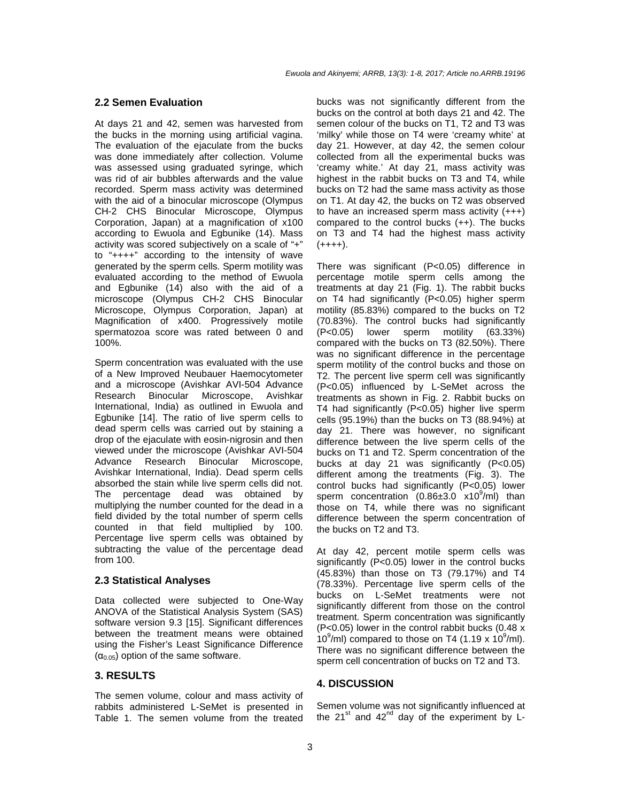#### **2.2 Semen Evaluation**

At days 21 and 42, semen was harvested from the bucks in the morning using artificial vagina. The evaluation of the ejaculate from the bucks was done immediately after collection. Volume was assessed using graduated syringe, which was rid of air bubbles afterwards and the value recorded. Sperm mass activity was determined with the aid of a binocular microscope (Olympus CH-2 CHS Binocular Microscope, Olympus Corporation, Japan) at a magnification of x100 according to Ewuola and Egbunike (14). Mass activity was scored subjectively on a scale of "+" to "++++" according to the intensity of wave generated by the sperm cells. Sperm motility was evaluated according to the method of Ewuola and Egbunike (14) also with the aid of a microscope (Olympus CH-2 CHS Binocular Microscope, Olympus Corporation, Japan) at Magnification of x400. Progressively motile spermatozoa score was rated between 0 and 100%.

Sperm concentration was evaluated with the use of a New Improved Neubauer Haemocytometer and a microscope (Avishkar AVI-504 Advance Research Binocular Microscope, Avishkar International, India) as outlined in Ewuola and Egbunike [14]. The ratio of live sperm cells to dead sperm cells was carried out by staining a drop of the ejaculate with eosin-nigrosin and then viewed under the microscope (Avishkar AVI-504 Advance Research Binocular Microscope, Avishkar International, India). Dead sperm cells absorbed the stain while live sperm cells did not. The percentage dead was obtained by multiplying the number counted for the dead in a field divided by the total number of sperm cells counted in that field multiplied by 100. Percentage live sperm cells was obtained by subtracting the value of the percentage dead from 100.

#### **2.3 Statistical Analyses**

Data collected were subjected to One-Way ANOVA of the Statistical Analysis System (SAS) software version 9.3 [15]. Significant differences between the treatment means were obtained using the Fisher's Least Significance Difference  $(\alpha_{0.05})$  option of the same software.

#### **3. RESULTS**

The semen volume, colour and mass activity of rabbits administered L-SeMet is presented in Table 1. The semen volume from the treated bucks was not significantly different from the bucks on the control at both days 21 and 42. The semen colour of the bucks on T1, T2 and T3 was 'milky' while those on T4 were 'creamy white' at day 21. However, at day 42, the semen colour collected from all the experimental bucks was 'creamy white.' At day 21, mass activity was highest in the rabbit bucks on T3 and T4, while bucks on T2 had the same mass activity as those on T1. At day 42, the bucks on T2 was observed to have an increased sperm mass activity (+++) compared to the control bucks (++). The bucks on T3 and T4 had the highest mass activity  $(++++)$ .

There was significant (P<0.05) difference in percentage motile sperm cells among the treatments at day 21 (Fig. 1). The rabbit bucks on T4 had significantly (P<0.05) higher sperm motility (85.83%) compared to the bucks on T2 (70.83%). The control bucks had significantly (P<0.05) lower sperm motility (63.33%) compared with the bucks on T3 (82.50%). There was no significant difference in the percentage sperm motility of the control bucks and those on T2. The percent live sperm cell was significantly (P<0.05) influenced by L-SeMet across the treatments as shown in Fig. 2. Rabbit bucks on T4 had significantly (P<0.05) higher live sperm cells (95.19%) than the bucks on T3 (88.94%) at day 21. There was however, no significant difference between the live sperm cells of the bucks on T1 and T2. Sperm concentration of the bucks at day 21 was significantly (P<0.05) different among the treatments (Fig. 3). The control bucks had significantly (P<0.05) lower sperm concentration  $(0.86 \pm 3.0 \times 10^9/\text{m})$  than those on T4, while there was no significant difference between the sperm concentration of the bucks on T2 and T3.

At day 42, percent motile sperm cells was significantly (P<0.05) lower in the control bucks (45.83%) than those on T3 (79.17%) and T4 (78.33%). Percentage live sperm cells of the bucks on L-SeMet treatments were not significantly different from those on the control treatment. Sperm concentration was significantly (P<0.05) lower in the control rabbit bucks (0.48 x  $10^9$ /ml) compared to those on T4 (1.19 x  $10^9$ /ml). There was no significant difference between the sperm cell concentration of bucks on T2 and T3.

#### **4. DISCUSSION**

Semen volume was not significantly influenced at the  $21^{st}$  and  $42^{nd}$  day of the experiment by L-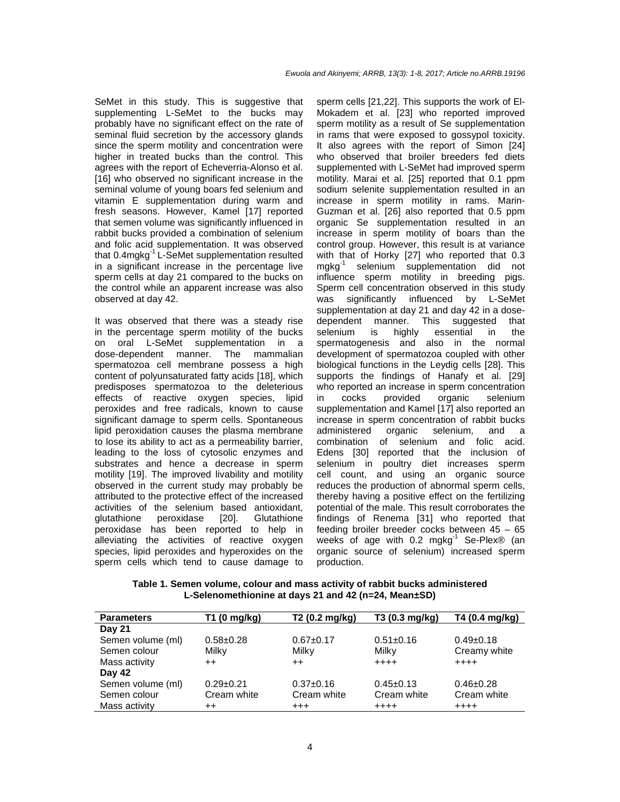SeMet in this study. This is suggestive that supplementing L-SeMet to the bucks may probably have no significant effect on the rate of seminal fluid secretion by the accessory glands since the sperm motility and concentration were higher in treated bucks than the control. This agrees with the report of Echeverria-Alonso et al. [16] who observed no significant increase in the seminal volume of young boars fed selenium and vitamin E supplementation during warm and fresh seasons. However, Kamel [17] reported that semen volume was significantly influenced in rabbit bucks provided a combination of selenium and folic acid supplementation. It was observed that 0.4mgkg-1 L-SeMet supplementation resulted in a significant increase in the percentage live sperm cells at day 21 compared to the bucks on the control while an apparent increase was also observed at day 42.

It was observed that there was a steady rise in the percentage sperm motility of the bucks on oral L-SeMet supplementation in a dose-dependent manner. The mammalian spermatozoa cell membrane possess a high content of polyunsaturated fatty acids [18], which predisposes spermatozoa to the deleterious effects of reactive oxygen species, lipid peroxides and free radicals, known to cause significant damage to sperm cells. Spontaneous lipid peroxidation causes the plasma membrane to lose its ability to act as a permeability barrier, leading to the loss of cytosolic enzymes and substrates and hence a decrease in sperm motility [19]. The improved livability and motility observed in the current study may probably be attributed to the protective effect of the increased activities of the selenium based antioxidant, glutathione peroxidase [20]. Glutathione peroxidase has been reported to help in alleviating the activities of reactive oxygen species, lipid peroxides and hyperoxides on the sperm cells which tend to cause damage to sperm cells [21,22]. This supports the work of El-Mokadem et al. [23] who reported improved sperm motility as a result of Se supplementation in rams that were exposed to gossypol toxicity. It also agrees with the report of Simon [24] who observed that broiler breeders fed diets supplemented with L-SeMet had improved sperm motility. Marai et al. [25] reported that 0.1 ppm sodium selenite supplementation resulted in an increase in sperm motility in rams. Marin-Guzman et al. [26] also reported that 0.5 ppm organic Se supplementation resulted in an increase in sperm motility of boars than the control group. However, this result is at variance with that of Horky [27] who reported that 0.3 mgkg-1 selenium supplementation did not influence sperm motility in breeding pigs. Sperm cell concentration observed in this study was significantly influenced by L-SeMet supplementation at day 21 and day 42 in a dosedependent manner. This suggested that selenium is highly essential in the spermatogenesis and also in the normal development of spermatozoa coupled with other biological functions in the Leydig cells [28]. This supports the findings of Hanafy et al. [29] who reported an increase in sperm concentration in cocks provided organic selenium supplementation and Kamel [17] also reported an increase in sperm concentration of rabbit bucks administered organic selenium, and a combination of selenium and folic acid. Edens [30] reported that the inclusion of selenium in poultry diet increases sperm cell count, and using an organic source reduces the production of abnormal sperm cells, thereby having a positive effect on the fertilizing potential of the male. This result corroborates the findings of Renema [31] who reported that feeding broiler breeder cocks between 45 – 65 weeks of age with 0.2 mgkg<sup>-1</sup> Se-Plex® (an organic source of selenium) increased sperm production.

**Table 1. Semen volume, colour and mass activity of rabbit bucks administered L-Selenomethionine at days 21 and 42 (n=24, Mean±SD)** 

| <b>Parameters</b> | T1 (0 mg/kg)    | T2 (0.2 mg/kg)  | T3 (0.3 mg/kg)  | T4 (0.4 mg/kg)  |
|-------------------|-----------------|-----------------|-----------------|-----------------|
| <b>Day 21</b>     |                 |                 |                 |                 |
| Semen volume (ml) | $0.58 + 0.28$   | $0.67 + 0.17$   | $0.51 \pm 0.16$ | $0.49+0.18$     |
| Semen colour      | Milky           | Milky           | Milky           | Creamy white    |
| Mass activity     | $++$            | $^{\mathrm{+}}$ | $+++++$         | $+ + + +$       |
| Day 42            |                 |                 |                 |                 |
| Semen volume (ml) | $0.29 \pm 0.21$ | $0.37+0.16$     | $0.45 \pm 0.13$ | $0.46 \pm 0.28$ |
| Semen colour      | Cream white     | Cream white     | Cream white     | Cream white     |
| Mass activity     | $++$            | $^{+++}$        | $++++$          | $++++$          |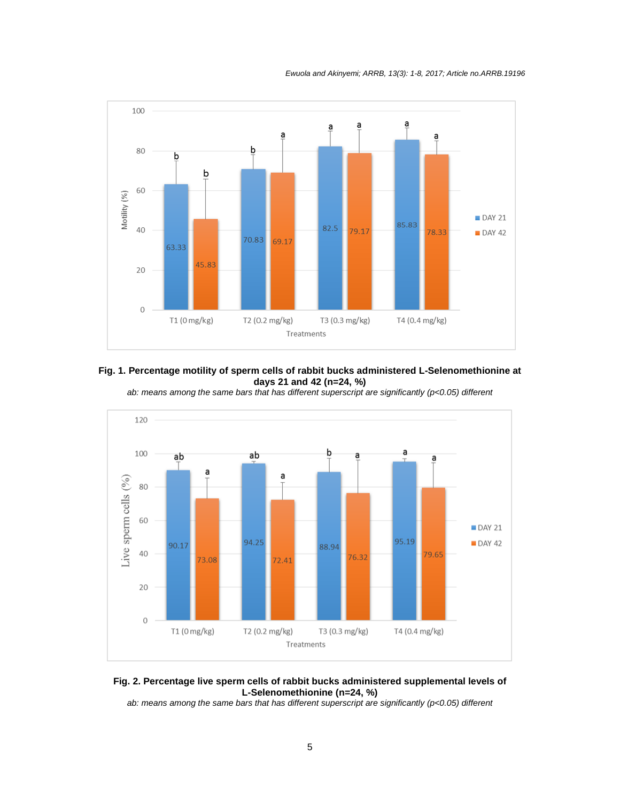Ewuola and Akinyemi; ARRB, 13(3): 1-8, 2017; Article no.ARRB.19196



**Fig. 1. Percentage motility of sperm cells of rabbit bucks administered L-Selenomethionine at days 21 and 42 (n=24, %)** 

ab: means among the same bars that has different superscript are significantly (p<0.05) different



**Fig. 2. Percentage live sperm cells of rabbit bucks administered supplemental levels of L-Selenomethionine (n=24, %)** 

ab: means among the same bars that has different superscript are significantly (p<0.05) different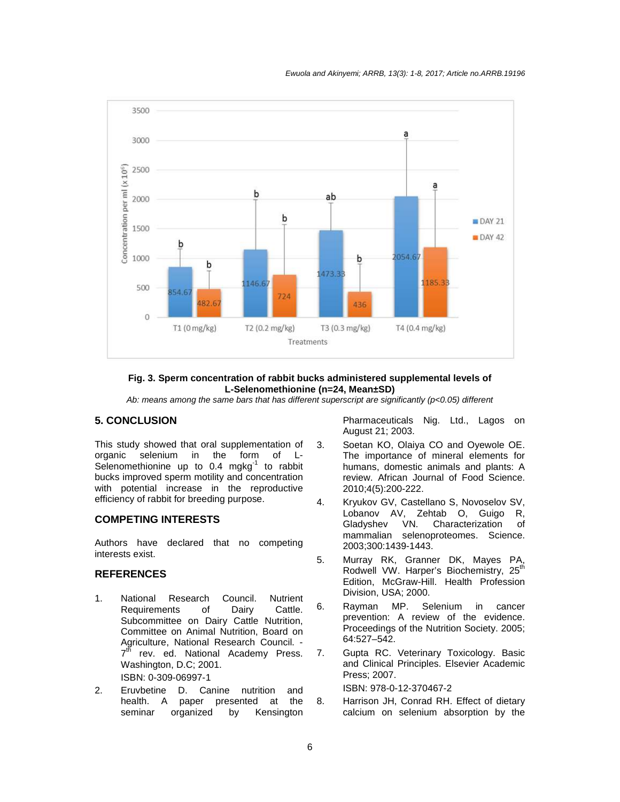

#### **Fig. 3. Sperm concentration of rabbit bucks administered supplemental levels of L-Selenomethionine (n=24, Mean±SD)**

Ab: means among the same bars that has different superscript are significantly (p<0.05) different

### **5. CONCLUSION**

This study showed that oral supplementation of organic selenium in the form of L-Selenomethionine up to  $0.4 \text{ mghg}^{-1}$  to rabbit bucks improved sperm motility and concentration with potential increase in the reproductive efficiency of rabbit for breeding purpose.

## **COMPETING INTERESTS**

Authors have declared that no competing interests exist.

#### **REFERENCES**

- 1. National Research Council. Nutrient Requirements of Dairy Cattle. Subcommittee on Dairy Cattle Nutrition, Committee on Animal Nutrition, Board on Agriculture, National Research Council. -  $7<sup>tf</sup>$ rev. ed. National Academy Press. Washington, D.C; 2001. ISBN: 0-309-06997-1
- 2. Eruvbetine D. Canine nutrition and health. A paper presented at the<br>seminar organized by Kensington organized by

Pharmaceuticals Nig. Ltd., Lagos on August 21; 2003.

- 3. Soetan KO, Olaiya CO and Oyewole OE. The importance of mineral elements for humans, domestic animals and plants: A review. African Journal of Food Science. 2010;4(5):200-222.
- 4. Kryukov GV, Castellano S, Novoselov SV, Lobanov AV, Zehtab O, Guigo R, Gladyshev VN. Characterization of mammalian selenoproteomes. Science. 2003;300:1439-1443.
- 5. Murray RK, Granner DK, Mayes PA, Rodwell VW. Harper's Biochemistry, 25<sup>th</sup> Edition, McGraw-Hill. Health Profession Division, USA; 2000.
- 6. Rayman MP. Selenium in cancer prevention: A review of the evidence. Proceedings of the Nutrition Society. 2005; 64:527–542.
- 7. Gupta RC. Veterinary Toxicology. Basic and Clinical Principles. Elsevier Academic Press; 2007.

ISBN: 978-0-12-370467-2

8. Harrison JH, Conrad RH. Effect of dietary calcium on selenium absorption by the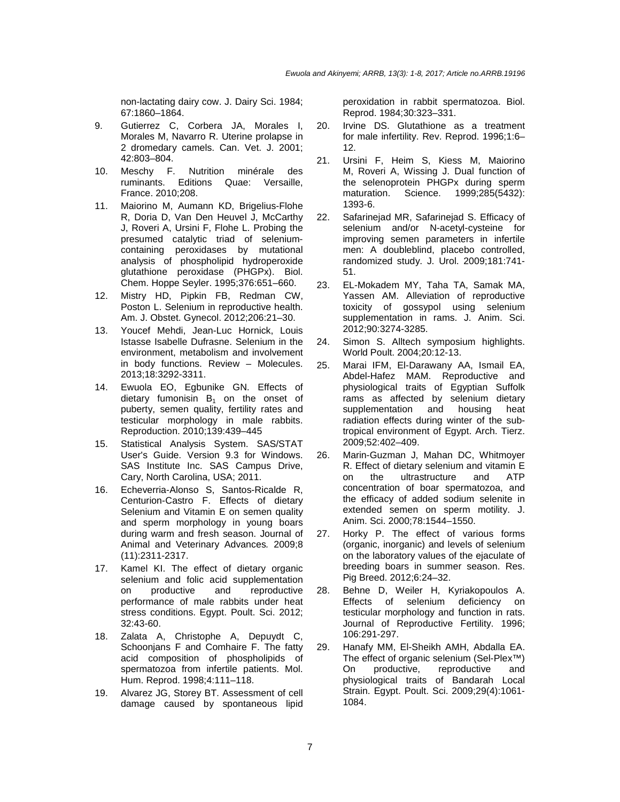non-lactating dairy cow. J. Dairy Sci. 1984; 67:1860–1864.

- 9. Gutierrez C, Corbera JA, Morales I, Morales M, Navarro R. Uterine prolapse in 2 dromedary camels. Can. Vet. J. 2001; 42:803–804.
- 10. Meschy F. Nutrition minérale des ruminants. Editions Quae: Versaille, France. 2010;208.
- 11. Maiorino M, Aumann KD, Brigelius-Flohe R, Doria D, Van Den Heuvel J, McCarthy J, Roveri A, Ursini F, Flohe L. Probing the presumed catalytic triad of seleniumcontaining peroxidases by mutational analysis of phospholipid hydroperoxide glutathione peroxidase (PHGPx). Biol. Chem. Hoppe Seyler. 1995;376:651–660.
- 12. Mistry HD, Pipkin FB, Redman CW, Poston L. Selenium in reproductive health. Am. J. Obstet. Gynecol. 2012;206:21–30.
- 13. Youcef Mehdi, Jean-Luc Hornick, Louis Istasse Isabelle Dufrasne. Selenium in the environment, metabolism and involvement in body functions. Review – Molecules. 2013;18:3292-3311.
- 14. Ewuola EO, Egbunike GN. Effects of dietary fumonisin  $B_1$  on the onset of puberty, semen quality, fertility rates and testicular morphology in male rabbits. Reproduction. 2010;139:439–445
- 15. Statistical Analysis System. SAS/STAT User's Guide. Version 9.3 for Windows. SAS Institute Inc. SAS Campus Drive, Cary, North Carolina, USA; 2011.
- 16. Echeverria-Alonso S, Santos-Ricalde R, Centurion-Castro F. Effects of dietary Selenium and Vitamin E on semen quality and sperm morphology in young boars during warm and fresh season. Journal of Animal and Veterinary Advances. 2009;8 (11):2311-2317.
- 17. Kamel KI. The effect of dietary organic selenium and folic acid supplementation on productive and reproductive performance of male rabbits under heat stress conditions. Egypt. Poult. Sci. 2012; 32:43-60.
- 18. Zalata A, Christophe A, Depuydt C, Schoonjans F and Comhaire F. The fatty acid composition of phospholipids of spermatozoa from infertile patients. Mol. Hum. Reprod. 1998;4:111–118.
- 19. Alvarez JG, Storey BT. Assessment of cell damage caused by spontaneous lipid

peroxidation in rabbit spermatozoa. Biol. Reprod. 1984;30:323–331.

- 20. Irvine DS. Glutathione as a treatment for male infertility. Rev. Reprod. 1996;1:6– 12.
- 21. Ursini F, Heim S, Kiess M, Maiorino M, Roveri A, Wissing J. Dual function of the selenoprotein PHGPx during sperm maturation. Science. 1999;285(5432): 1393-6.
- 22. Safarinejad MR, Safarinejad S. Efficacy of selenium and/or N-acetyl-cysteine for improving semen parameters in infertile men: A doubleblind, placebo controlled, randomized study. J. Urol. 2009;181:741- 51.
- 23. EL-Mokadem MY, Taha TA, Samak MA, Yassen AM. Alleviation of reproductive toxicity of gossypol using selenium supplementation in rams. J. Anim. Sci. 2012;90:3274-3285.
- 24. Simon S. Alltech symposium highlights. World Poult. 2004;20:12-13.
- 25. Marai IFM, El-Darawany AA, Ismail EA, Abdel-Hafez MAM. Reproductive and physiological traits of Egyptian Suffolk rams as affected by selenium dietary supplementation and housing heat radiation effects during winter of the subtropical environment of Egypt. Arch. Tierz. 2009;52:402–409.
- 26. Marin-Guzman J, Mahan DC, Whitmoyer R. Effect of dietary selenium and vitamin E on the ultrastructure and ATP concentration of boar spermatozoa, and the efficacy of added sodium selenite in extended semen on sperm motility. J. Anim. Sci. 2000;78:1544–1550.
- 27. Horky P. The effect of various forms (organic, inorganic) and levels of selenium on the laboratory values of the ejaculate of breeding boars in summer season. Res. Pig Breed. 2012;6:24–32.
- 28. Behne D, Weiler H, Kyriakopoulos A. Effects of selenium deficiency on testicular morphology and function in rats. Journal of Reproductive Fertility. 1996; 106:291-297.
- 29. Hanafy MM, El-Sheikh AMH, Abdalla EA. The effect of organic selenium (Sel-Plex™) On productive, reproductive and physiological traits of Bandarah Local Strain. Egypt. Poult. Sci. 2009;29(4):1061- 1084.